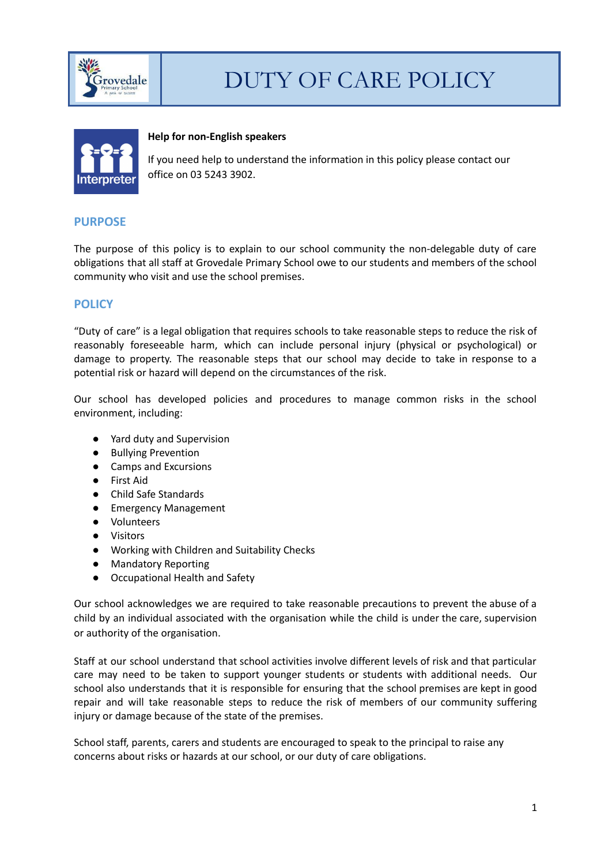



#### **Help for non-English speakers**

If you need help to understand the information in this policy please contact our office on 03 5243 3902.

## **PURPOSE**

The purpose of this policy is to explain to our school community the non-delegable duty of care obligations that all staff at Grovedale Primary School owe to our students and members of the school community who visit and use the school premises.

# **POLICY**

"Duty of care" is a legal obligation that requires schools to take reasonable steps to reduce the risk of reasonably foreseeable harm, which can include personal injury (physical or psychological) or damage to property. The reasonable steps that our school may decide to take in response to a potential risk or hazard will depend on the circumstances of the risk.

Our school has developed policies and procedures to manage common risks in the school environment, including:

- Yard duty and Supervision
- Bullying Prevention
- Camps and Excursions
- First Aid
- Child Safe Standards
- Emergency Management
- Volunteers
- Visitors
- Working with Children and Suitability Checks
- Mandatory Reporting
- Occupational Health and Safety

Our school acknowledges we are required to take reasonable precautions to prevent the abuse of a child by an individual associated with the organisation while the child is under the care, supervision or authority of the organisation.

Staff at our school understand that school activities involve different levels of risk and that particular care may need to be taken to support younger students or students with additional needs. Our school also understands that it is responsible for ensuring that the school premises are kept in good repair and will take reasonable steps to reduce the risk of members of our community suffering injury or damage because of the state of the premises.

School staff, parents, carers and students are encouraged to speak to the principal to raise any concerns about risks or hazards at our school, or our duty of care obligations.